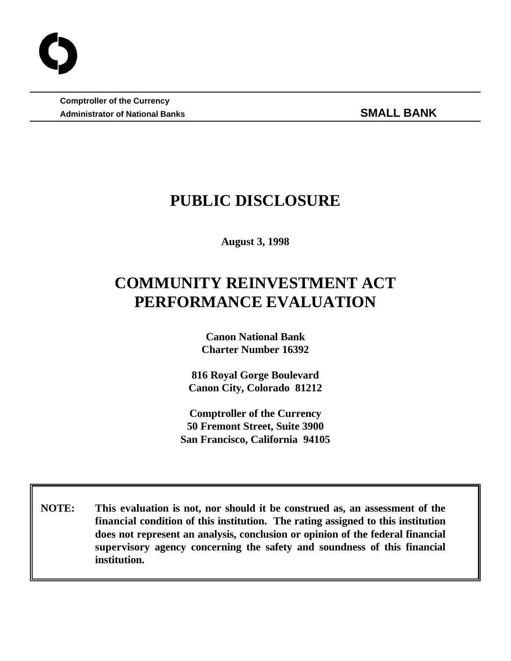**Comptroller of the Currency** Administrator of National Banks **SMALL BANK** 

## **PUBLIC DISCLOSURE**

**August 3, 1998**

# **COMMUNITY REINVESTMENT ACT PERFORMANCE EVALUATION**

**Canon National Bank Charter Number 16392**

**816 Royal Gorge Boulevard Canon City, Colorado 81212**

**Comptroller of the Currency 50 Fremont Street, Suite 3900 San Francisco, California 94105**

 **NOTE: This evaluation is not, nor should it be construed as, an assessment of the financial condition of this institution. The rating assigned to this institution does not represent an analysis, conclusion or opinion of the federal financial supervisory agency concerning the safety and soundness of this financial institution.**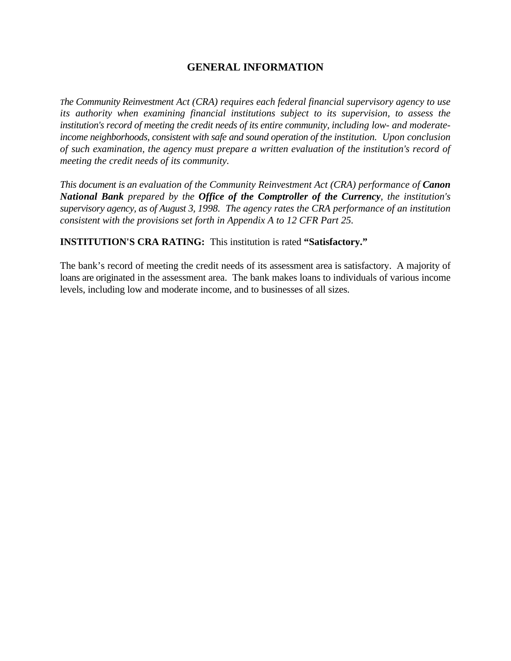### **GENERAL INFORMATION**

*The Community Reinvestment Act (CRA) requires each federal financial supervisory agency to use its authority when examining financial institutions subject to its supervision, to assess the institution's record of meeting the credit needs of its entire community, including low- and moderateincome neighborhoods, consistent with safe and sound operation of the institution. Upon conclusion of such examination, the agency must prepare a written evaluation of the institution's record of meeting the credit needs of its community.* 

*This document is an evaluation of the Community Reinvestment Act (CRA) performance of Canon National Bank prepared by the Office of the Comptroller of the Currency, the institution's supervisory agency, as of August 3, 1998. The agency rates the CRA performance of an institution consistent with the provisions set forth in Appendix A to 12 CFR Part 25.*

#### **INSTITUTION'S CRA RATING:** This institution is rated **"Satisfactory."**

The bank's record of meeting the credit needs of its assessment area is satisfactory. A majority of loans are originated in the assessment area. The bank makes loans to individuals of various income levels, including low and moderate income, and to businesses of all sizes.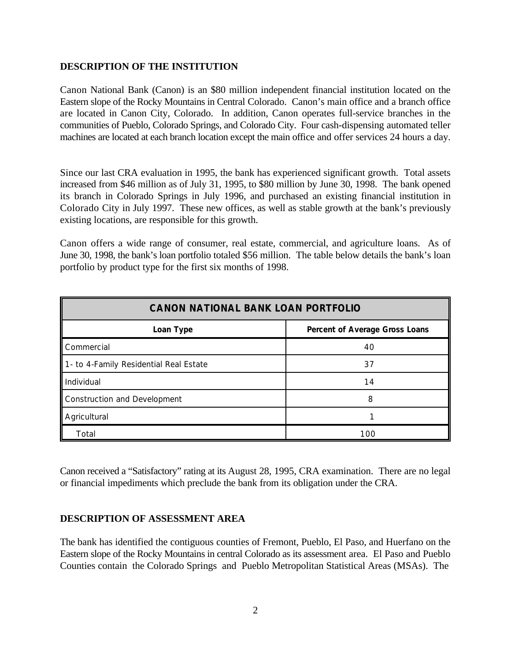#### **DESCRIPTION OF THE INSTITUTION**

Canon National Bank (Canon) is an \$80 million independent financial institution located on the Eastern slope of the Rocky Mountains in Central Colorado. Canon's main office and a branch office are located in Canon City, Colorado. In addition, Canon operates full-service branches in the communities of Pueblo, Colorado Springs, and Colorado City. Four cash-dispensing automated teller machines are located at each branch location except the main office and offer services 24 hours a day.

Since our last CRA evaluation in 1995, the bank has experienced significant growth. Total assets increased from \$46 million as of July 31, 1995, to \$80 million by June 30, 1998. The bank opened its branch in Colorado Springs in July 1996, and purchased an existing financial institution in Colorado City in July 1997. These new offices, as well as stable growth at the bank's previously existing locations, are responsible for this growth.

Canon offers a wide range of consumer, real estate, commercial, and agriculture loans. As of June 30, 1998, the bank's loan portfolio totaled \$56 million. The table below details the bank's loan portfolio by product type for the first six months of 1998.

| <b>CANON NATIONAL BANK LOAN PORTFOLIO</b> |                                |  |  |
|-------------------------------------------|--------------------------------|--|--|
| Loan Type                                 | Percent of Average Gross Loans |  |  |
| Commercial                                | 40                             |  |  |
| 1- to 4-Family Residential Real Estate    | 37                             |  |  |
| Individual                                | 14                             |  |  |
| Construction and Development              | 8                              |  |  |
| Agricultural                              |                                |  |  |
| Total                                     | 100                            |  |  |

Canon received a "Satisfactory" rating at its August 28, 1995, CRA examination. There are no legal or financial impediments which preclude the bank from its obligation under the CRA.

#### **DESCRIPTION OF ASSESSMENT AREA**

The bank has identified the contiguous counties of Fremont, Pueblo, El Paso, and Huerfano on the Eastern slope of the Rocky Mountains in central Colorado as its assessment area. El Paso and Pueblo Counties contain the Colorado Springs and Pueblo Metropolitan Statistical Areas (MSAs). The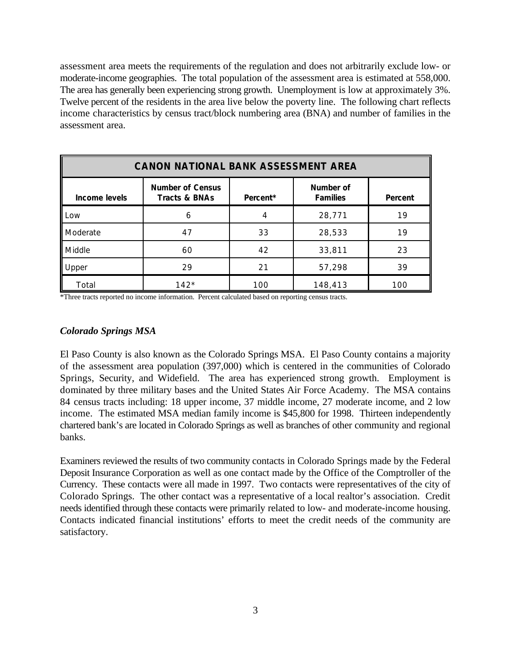assessment area meets the requirements of the regulation and does not arbitrarily exclude low- or moderate-income geographies. The total population of the assessment area is estimated at 558,000. The area has generally been experiencing strong growth. Unemployment is low at approximately 3%. Twelve percent of the residents in the area live below the poverty line. The following chart reflects income characteristics by census tract/block numbering area (BNA) and number of families in the assessment area.

| <b>CANON NATIONAL BANK ASSESSMENT AREA</b> |                                                     |          |                              |         |  |
|--------------------------------------------|-----------------------------------------------------|----------|------------------------------|---------|--|
| Income levels                              | <b>Number of Census</b><br><b>Tracts &amp; BNAs</b> | Percent* | Number of<br><b>Families</b> | Percent |  |
| Low                                        | 6                                                   | 4        | 28,771                       | 19      |  |
| Moderate                                   | 47                                                  | 33       | 28,533                       | 19      |  |
| Middle                                     | 60                                                  | 42       | 33,811                       | 23      |  |
| Upper                                      | 29                                                  | 21       | 57,298                       | 39      |  |
| Total                                      | $142*$                                              | 100      | 148,413                      | 100     |  |

\*Three tracts reported no income information. Percent calculated based on reporting census tracts.

#### *Colorado Springs MSA*

El Paso County is also known as the Colorado Springs MSA. El Paso County contains a majority of the assessment area population (397,000) which is centered in the communities of Colorado Springs, Security, and Widefield. The area has experienced strong growth. Employment is dominated by three military bases and the United States Air Force Academy. The MSA contains 84 census tracts including: 18 upper income, 37 middle income, 27 moderate income, and 2 low income. The estimated MSA median family income is \$45,800 for 1998. Thirteen independently chartered bank's are located in Colorado Springs as well as branches of other community and regional banks.

Examiners reviewed the results of two community contacts in Colorado Springs made by the Federal Deposit Insurance Corporation as well as one contact made by the Office of the Comptroller of the Currency. These contacts were all made in 1997. Two contacts were representatives of the city of Colorado Springs. The other contact was a representative of a local realtor's association. Credit needs identified through these contacts were primarily related to low- and moderate-income housing. Contacts indicated financial institutions' efforts to meet the credit needs of the community are satisfactory.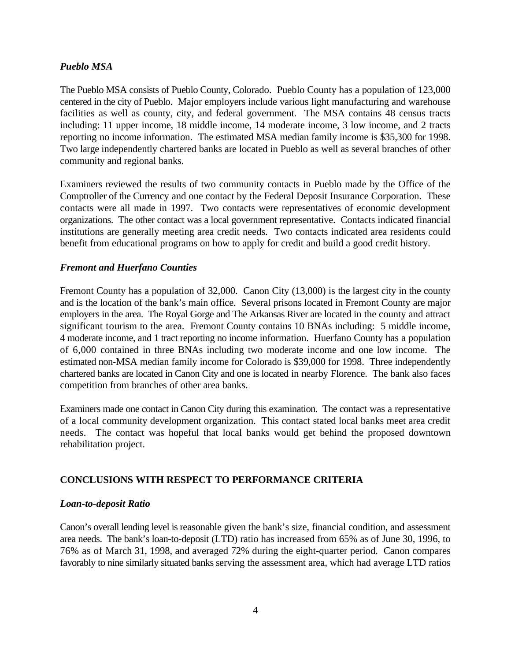#### *Pueblo MSA*

The Pueblo MSA consists of Pueblo County, Colorado. Pueblo County has a population of 123,000 centered in the city of Pueblo. Major employers include various light manufacturing and warehouse facilities as well as county, city, and federal government. The MSA contains 48 census tracts including: 11 upper income, 18 middle income, 14 moderate income, 3 low income, and 2 tracts reporting no income information. The estimated MSA median family income is \$35,300 for 1998. Two large independently chartered banks are located in Pueblo as well as several branches of other community and regional banks.

Examiners reviewed the results of two community contacts in Pueblo made by the Office of the Comptroller of the Currency and one contact by the Federal Deposit Insurance Corporation. These contacts were all made in 1997. Two contacts were representatives of economic development organizations. The other contact was a local government representative. Contacts indicated financial institutions are generally meeting area credit needs. Two contacts indicated area residents could benefit from educational programs on how to apply for credit and build a good credit history.

#### *Fremont and Huerfano Counties*

Fremont County has a population of 32,000. Canon City (13,000) is the largest city in the county and is the location of the bank's main office. Several prisons located in Fremont County are major employers in the area. The Royal Gorge and The Arkansas River are located in the county and attract significant tourism to the area. Fremont County contains 10 BNAs including: 5 middle income, 4 moderate income, and 1 tract reporting no income information. Huerfano County has a population of 6,000 contained in three BNAs including two moderate income and one low income. The estimated non-MSA median family income for Colorado is \$39,000 for 1998. Three independently chartered banks are located in Canon City and one is located in nearby Florence. The bank also faces competition from branches of other area banks.

Examiners made one contact in Canon City during this examination. The contact was a representative of a local community development organization. This contact stated local banks meet area credit needs. The contact was hopeful that local banks would get behind the proposed downtown rehabilitation project.

#### **CONCLUSIONS WITH RESPECT TO PERFORMANCE CRITERIA**

#### *Loan-to-deposit Ratio*

Canon's overall lending level is reasonable given the bank's size, financial condition, and assessment area needs. The bank's loan-to-deposit (LTD) ratio has increased from 65% as of June 30, 1996, to 76% as of March 31, 1998, and averaged 72% during the eight-quarter period. Canon compares favorably to nine similarly situated banks serving the assessment area, which had average LTD ratios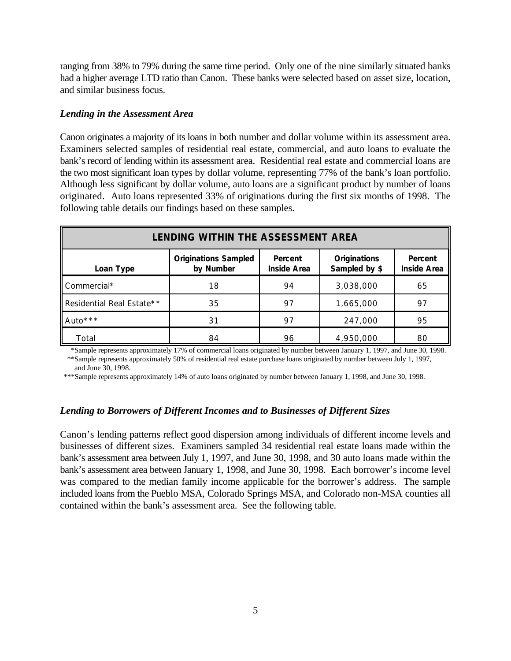ranging from 38% to 79% during the same time period. Only one of the nine similarly situated banks had a higher average LTD ratio than Canon. These banks were selected based on asset size, location, and similar business focus.

#### *Lending in the Assessment Area*

Canon originates a majority of its loans in both number and dollar volume within its assessment area. Examiners selected samples of residential real estate, commercial, and auto loans to evaluate the bank's record of lending within its assessment area. Residential real estate and commercial loans are the two most significant loan types by dollar volume, representing 77% of the bank's loan portfolio. Although less significant by dollar volume, auto loans are a significant product by number of loans originated. Auto loans represented 33% of originations during the first six months of 1998. The following table details our findings based on these samples.

| <b>LENDING WITHIN THE ASSESSMENT AREA</b> |                                          |                               |                                      |                               |  |
|-------------------------------------------|------------------------------------------|-------------------------------|--------------------------------------|-------------------------------|--|
| Loan Type                                 | <b>Originations Sampled</b><br>by Number | Percent<br><b>Inside Area</b> | <b>Originations</b><br>Sampled by \$ | Percent<br><b>Inside Area</b> |  |
| Commercial*                               | 18                                       | 94                            | 3,038,000                            | 65                            |  |
| Residential Real Estate**                 | 35                                       | 97                            | 1,665,000                            | 97                            |  |
| Auto <sup>***</sup>                       | 31                                       | 97                            | 247,000                              | 95                            |  |
| Total                                     | 84                                       | 96                            | 4,950,000                            | 80                            |  |

 \*Sample represents approximately 17% of commercial loans originated by number between January 1, 1997, and June 30, 1998. \*\*Sample represents approximately 50% of residential real estate purchase loans originated by number between July 1, 1997, and June 30, 1998.

\*\*\*Sample represents approximately 14% of auto loans originated by number between January 1, 1998, and June 30, 1998.

#### *Lending to Borrowers of Different Incomes and to Businesses of Different Sizes*

Canon's lending patterns reflect good dispersion among individuals of different income levels and businesses of different sizes. Examiners sampled 34 residential real estate loans made within the bank's assessment area between July 1, 1997, and June 30, 1998, and 30 auto loans made within the bank's assessment area between January 1, 1998, and June 30, 1998. Each borrower's income level was compared to the median family income applicable for the borrower's address. The sample included loans from the Pueblo MSA, Colorado Springs MSA, and Colorado non-MSA counties all contained within the bank's assessment area. See the following table.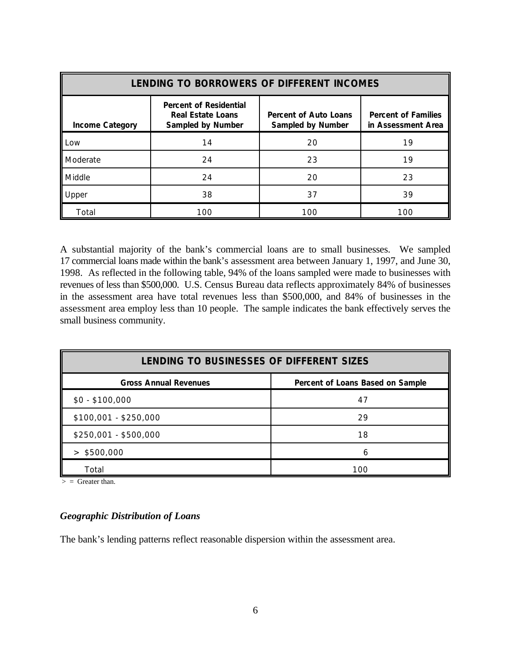| LENDING TO BORROWERS OF DIFFERENT INCOMES |                                                                                       |                                                          |                                                  |  |
|-------------------------------------------|---------------------------------------------------------------------------------------|----------------------------------------------------------|--------------------------------------------------|--|
| <b>Income Category</b>                    | <b>Percent of Residential</b><br><b>Real Estate Loans</b><br><b>Sampled by Number</b> | <b>Percent of Auto Loans</b><br><b>Sampled by Number</b> | <b>Percent of Families</b><br>in Assessment Area |  |
| Low                                       | 14                                                                                    | 20                                                       | 19                                               |  |
| Moderate                                  | 24                                                                                    | 23                                                       | 19                                               |  |
| Middle                                    | 24                                                                                    | 20                                                       | 23                                               |  |
| Upper                                     | 38                                                                                    | 37                                                       | 39                                               |  |
| Total                                     | 100                                                                                   | 100                                                      | 100                                              |  |

A substantial majority of the bank's commercial loans are to small businesses. We sampled 17 commercial loans made within the bank's assessment area between January 1, 1997, and June 30, 1998. As reflected in the following table, 94% of the loans sampled were made to businesses with revenues of less than \$500,000. U.S. Census Bureau data reflects approximately 84% of businesses in the assessment area have total revenues less than \$500,000, and 84% of businesses in the assessment area employ less than 10 people. The sample indicates the bank effectively serves the small business community.

| LENDING TO BUSINESSES OF DIFFERENT SIZES                         |     |  |  |
|------------------------------------------------------------------|-----|--|--|
| <b>Gross Annual Revenues</b><br>Percent of Loans Based on Sample |     |  |  |
| $$0 - $100,000$                                                  | 47  |  |  |
| $$100,001 - $250,000$                                            | 29  |  |  |
| \$250,001 - \$500,000                                            | 18  |  |  |
| $>$ \$500,000                                                    | h   |  |  |
| Total                                                            | 100 |  |  |

 $>$  = Greater than.

#### *Geographic Distribution of Loans*

The bank's lending patterns reflect reasonable dispersion within the assessment area.